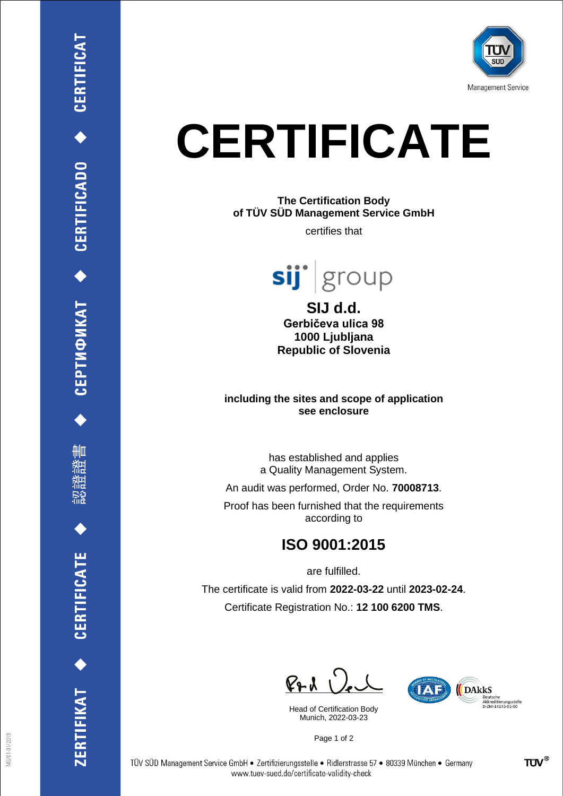

## **CERTIFICATE**

## **The Certification Body of TÜV SÜD Management Service GmbH**

certifies that



**SIJ d.d. Gerbičeva ulica 98 1000 Ljubljana Republic of Slovenia**

**including the sites and scope of application see enclosure**

> has established and applies a Quality Management System.

An audit was performed, Order No. **70008713**.

Proof has been furnished that the requirements according to

## **ISO 9001:2015**

are fulfilled.

The certificate is valid from **2022-03-22** until **2023-02-24**. Certificate Registration No.: **12 100 6200 TMS**.

 $P + 1$   $Q_e$ 

Head of Certification Body Munich, 2022-03-23



Page 1 of 2

CEPTИФИКАТ ◆ CERTIFICADO ◆ CERTIFICAT

₩ш